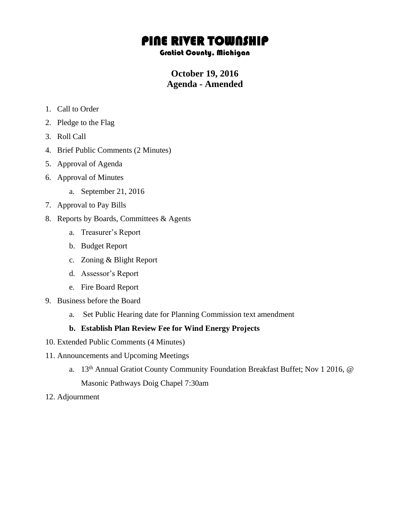# PINE RIVER TOWNSHIP

#### Gratiot County, Michigan

# **October 19, 2016 Agenda - Amended**

- 1. Call to Order
- 2. Pledge to the Flag
- 3. Roll Call
- 4. Brief Public Comments (2 Minutes)
- 5. Approval of Agenda
- 6. Approval of Minutes
	- a. September 21, 2016
- 7. Approval to Pay Bills
- 8. Reports by Boards, Committees & Agents
	- a. Treasurer's Report
	- b. Budget Report
	- c. Zoning & Blight Report
	- d. Assessor's Report
	- e. Fire Board Report
- 9. Business before the Board
	- a. Set Public Hearing date for Planning Commission text amendment

#### **b. Establish Plan Review Fee for Wind Energy Projects**

- 10. Extended Public Comments (4 Minutes)
- 11. Announcements and Upcoming Meetings
	- a. 13th Annual Gratiot County Community Foundation Breakfast Buffet; Nov 1 2016, @ Masonic Pathways Doig Chapel 7:30am
- 12. Adjournment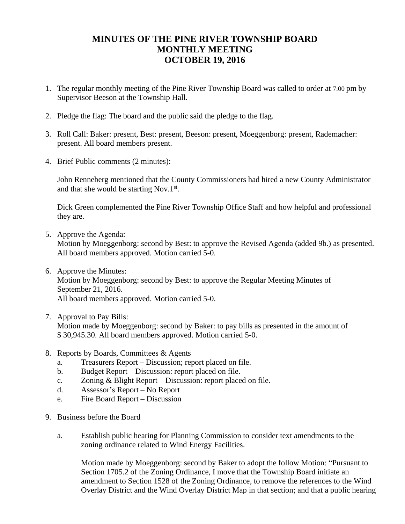## **MINUTES OF THE PINE RIVER TOWNSHIP BOARD MONTHLY MEETING OCTOBER 19, 2016**

- 1. The regular monthly meeting of the Pine River Township Board was called to order at 7:00 pm by Supervisor Beeson at the Township Hall.
- 2. Pledge the flag: The board and the public said the pledge to the flag.
- 3. Roll Call: Baker: present, Best: present, Beeson: present, Moeggenborg: present, Rademacher: present. All board members present.
- 4. Brief Public comments (2 minutes):

John Renneberg mentioned that the County Commissioners had hired a new County Administrator and that she would be starting Nov.1 $st$ .

Dick Green complemented the Pine River Township Office Staff and how helpful and professional they are.

5. Approve the Agenda:

Motion by Moeggenborg: second by Best: to approve the Revised Agenda (added 9b.) as presented. All board members approved. Motion carried 5-0.

- 6. Approve the Minutes: Motion by Moeggenborg: second by Best: to approve the Regular Meeting Minutes of September 21, 2016. All board members approved. Motion carried 5-0.
- 7. Approval to Pay Bills: Motion made by Moeggenborg: second by Baker: to pay bills as presented in the amount of \$ 30,945.30. All board members approved. Motion carried 5-0.
- 8. Reports by Boards, Committees & Agents
	- a. Treasurers Report Discussion; report placed on file.
	- b. Budget Report Discussion: report placed on file.
	- c. Zoning & Blight Report Discussion: report placed on file.
	- d. Assessor's Report No Report
	- e. Fire Board Report Discussion
- 9. Business before the Board
	- a. Establish public hearing for Planning Commission to consider text amendments to the zoning ordinance related to Wind Energy Facilities.

Motion made by Moeggenborg: second by Baker to adopt the follow Motion: "Pursuant to Section 1705.2 of the Zoning Ordinance, I move that the Township Board initiate an amendment to Section 1528 of the Zoning Ordinance, to remove the references to the Wind Overlay District and the Wind Overlay District Map in that section; and that a public hearing